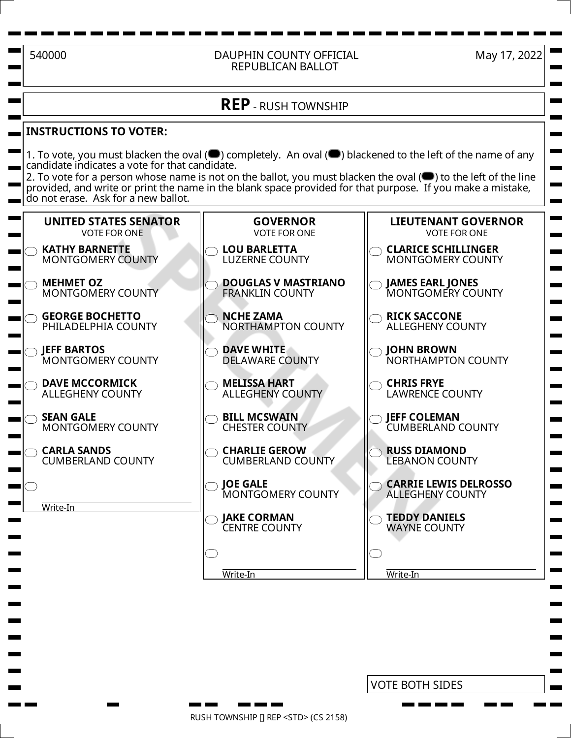## 540000 DAUPHIN COUNTY OFFICIAL REPUBLICAN BALLOT

May 17, 2022

## **REP** - RUSH TOWNSHIP

## **INSTRUCTIONS TO VOTER:**

1. To vote, you must blacken the oval (**•**) completely. An oval (•) blackened to the left of the name of any candidate indicates a vote for that candidate.

2. To vote for a person whose name is not on the ballot, you must blacken the oval ( $\bullet$ ) to the left of the line provided, and write or print the name in the blank space provided for that purpose. If you make a mistake, do not erase. Ask for a new ballot.